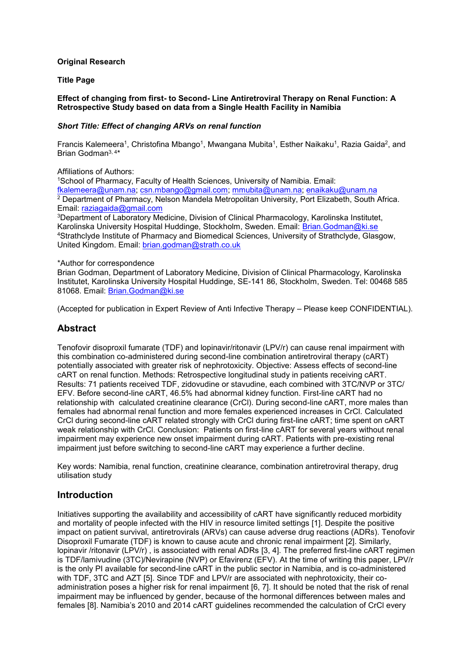#### **Original Research**

#### **Title Page**

#### **Effect of changing from first- to Second- Line Antiretroviral Therapy on Renal Function: A Retrospective Study based on data from a Single Health Facility in Namibia**

#### *Short Title: Effect of changing ARVs on renal function*

Francis Kalemeera<sup>1</sup>, Christofina Mbango<sup>1</sup>, Mwangana Mubita<sup>1</sup>, Esther Naikaku<sup>1</sup>, Razia Gaida<sup>2</sup>, and Brian Godman<sup>3, 4\*</sup>

Affiliations of Authors:

<sup>1</sup>School of Pharmacy, Faculty of Health Sciences, University of Namibia. Email: [fkalemeera@unam.na;](mailto:fkalemeera@unam.na) [csn.mbango@gmail.com;](mailto:csn.mbango@gmail.com) [mmubita@unam.na;](mailto:mmubita@unam.na) [enaikaku@unam.na](mailto:enaikaku@unam.na) <sup>2</sup> Department of Pharmacy, Nelson Mandela Metropolitan University, Port Elizabeth, South Africa. Email: [raziagaida@gmail.com](mailto:raziagaida@gmail.com)

<sup>3</sup>Department of Laboratory Medicine, Division of Clinical Pharmacology, Karolinska Institutet, Karolinska University Hospital Huddinge, Stockholm, Sweden. Email: [Brian.Godman@ki.se](mailto:Brian.Godman@ki.se) <sup>4</sup>Strathclyde Institute of Pharmacy and Biomedical Sciences, University of Strathclyde, Glasgow, United Kingdom. Email: [brian.godman@strath.co.uk](mailto:brian.godman@strath.co.uk)

#### \*Author for correspondence

Brian Godman, Department of Laboratory Medicine, Division of Clinical Pharmacology, Karolinska Institutet, Karolinska University Hospital Huddinge, SE-141 86, Stockholm, Sweden. Tel: 00468 585 81068. Email: [Brian.Godman@ki.se](mailto:Brian.Godman@ki.se)

(Accepted for publication in Expert Review of Anti Infective Therapy – Please keep CONFIDENTIAL).

## **Abstract**

Tenofovir disoproxil fumarate (TDF) and lopinavir/ritonavir (LPV/r) can cause renal impairment with this combination co-administered during second-line combination antiretroviral therapy (cART) potentially associated with greater risk of nephrotoxicity. Objective: Assess effects of second-line cART on renal function. Methods: Retrospective longitudinal study in patients receiving cART. Results: 71 patients received TDF, zidovudine or stavudine, each combined with 3TC/NVP or 3TC/ EFV. Before second-line cART, 46.5% had abnormal kidney function. First-line cART had no relationship with calculated creatinine clearance (CrCl). During second-line cART, more males than females had abnormal renal function and more females experienced increases in CrCl. Calculated CrCl during second-line cART related strongly with CrCl during first-line cART; time spent on cART weak relationship with CrCl. Conclusion: Patients on first-line cART for several years without renal impairment may experience new onset impairment during cART. Patients with pre-existing renal impairment just before switching to second-line cART may experience a further decline.

Key words: Namibia, renal function, creatinine clearance, combination antiretroviral therapy, drug utilisation study

## **Introduction**

Initiatives supporting the availability and accessibility of cART have significantly reduced morbidity and mortality of people infected with the HIV in resource limited settings [1]. Despite the positive impact on patient survival, antiretrovirals (ARVs) can cause adverse drug reactions (ADRs). Tenofovir Disoproxil Fumarate (TDF) is known to cause acute and chronic renal impairment [2]. Similarly, lopinavir /ritonavir (LPV/r) , is associated with renal ADRs [3, 4]. The preferred first-line cART regimen is TDF/lamivudine (3TC)/Nevirapine (NVP) or Efavirenz (EFV). At the time of writing this paper, LPV/r is the only PI available for second-line cART in the public sector in Namibia, and is co-administered with TDF, 3TC and AZT [5]. Since TDF and LPV/r are associated with nephrotoxicity, their coadministration poses a higher risk for renal impairment [6, 7]. It should be noted that the risk of renal impairment may be influenced by gender, because of the hormonal differences between males and females [8]. Namibia's 2010 and 2014 cART guidelines recommended the calculation of CrCl every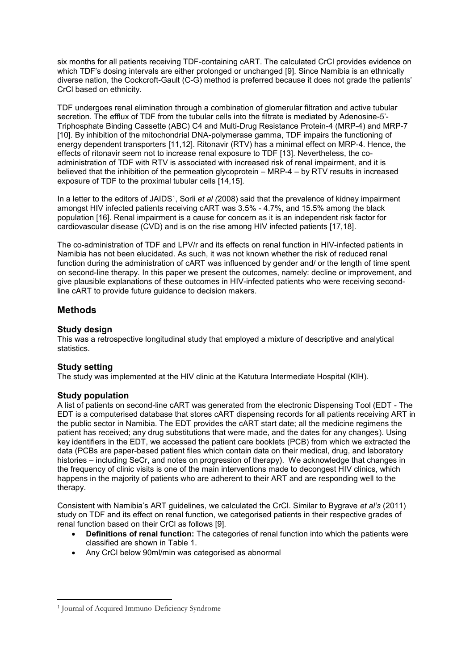six months for all patients receiving TDF-containing cART. The calculated CrCl provides evidence on which TDF's dosing intervals are either prolonged or unchanged [9]. Since Namibia is an ethnically diverse nation, the Cockcroft-Gault (C-G) method is preferred because it does not grade the patients' CrCl based on ethnicity.

TDF undergoes renal elimination through a combination of glomerular filtration and active tubular secretion. The efflux of TDF from the tubular cells into the filtrate is mediated by Adenosine-5'- Triphosphate Binding Cassette (ABC) C4 and Multi-Drug Resistance Protein-4 (MRP-4) and MRP-7 [10]. By inhibition of the mitochondrial DNA-polymerase gamma, TDF impairs the functioning of energy dependent transporters [11,12]. Ritonavir (RTV) has a minimal effect on MRP-4. Hence, the effects of ritonavir seem not to increase renal exposure to TDF [13]. Nevertheless, the coadministration of TDF with RTV is associated with increased risk of renal impairment, and it is believed that the inhibition of the permeation glycoprotein – MRP-4 – by RTV results in increased exposure of TDF to the proximal tubular cells [14,15].

In a letter to the editors of JAIDS<sup>1</sup>, Sorli *et al (*2008) said that the prevalence of kidney impairment amongst HIV infected patients receiving cART was 3.5% - 4.7%, and 15.5% among the black population [16]. Renal impairment is a cause for concern as it is an independent risk factor for cardiovascular disease (CVD) and is on the rise among HIV infected patients [17,18].

The co-administration of TDF and LPV/r and its effects on renal function in HIV-infected patients in Namibia has not been elucidated. As such, it was not known whether the risk of reduced renal function during the administration of cART was influenced by gender and/ or the length of time spent on second-line therapy. In this paper we present the outcomes, namely: decline or improvement, and give plausible explanations of these outcomes in HIV-infected patients who were receiving secondline cART to provide future guidance to decision makers.

## **Methods**

## **Study design**

This was a retrospective longitudinal study that employed a mixture of descriptive and analytical statistics.

## **Study setting**

The study was implemented at the HIV clinic at the Katutura Intermediate Hospital (KIH).

## **Study population**

A list of patients on second-line cART was generated from the electronic Dispensing Tool (EDT - The EDT is a computerised database that stores cART dispensing records for all patients receiving ART in the public sector in Namibia. The EDT provides the cART start date; all the medicine regimens the patient has received; any drug substitutions that were made, and the dates for any changes). Using key identifiers in the EDT, we accessed the patient care booklets (PCB) from which we extracted the data (PCBs are paper-based patient files which contain data on their medical, drug, and laboratory histories – including SeCr, and notes on progression of therapy). We acknowledge that changes in the frequency of clinic visits is one of the main interventions made to decongest HIV clinics, which happens in the majority of patients who are adherent to their ART and are responding well to the therapy.

Consistent with Namibia's ART guidelines, we calculated the CrCl. Similar to Bygrave *et al's* (2011) study on TDF and its effect on renal function, we categorised patients in their respective grades of renal function based on their CrCl as follows [9].

- **Definitions of renal function:** The categories of renal function into which the patients were classified are shown in Table 1.
- Any CrCl below 90ml/min was categorised as abnormal

<sup>1</sup> <sup>1</sup> Journal of Acquired Immuno-Deficiency Syndrome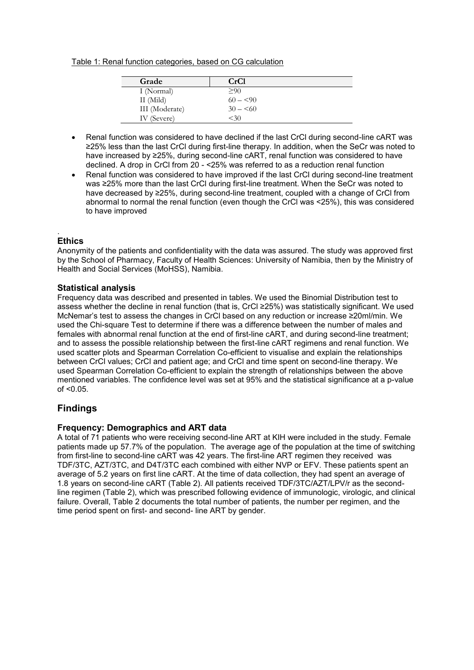Table 1: Renal function categories, based on CG calculation

| Grade          | CrCl       |
|----------------|------------|
| I (Normal)     | > 90       |
| $II$ (Mild)    | $60 - 50$  |
| III (Moderate) | $30 - 560$ |
| IV (Severe)    | <30        |

- Renal function was considered to have declined if the last CrCl during second-line cART was ≥25% less than the last CrCl during first-line therapy. In addition, when the SeCr was noted to have increased by ≥25%, during second-line cART, renal function was considered to have declined. A drop in CrCl from 20 - <25% was referred to as a reduction renal function
- Renal function was considered to have improved if the last CrCl during second-line treatment was ≥25% more than the last CrCl during first-line treatment. When the SeCr was noted to have decreased by ≥25%, during second-line treatment, coupled with a change of CrCl from abnormal to normal the renal function (even though the CrCl was <25%), this was considered to have improved

#### . **Ethics**

Anonymity of the patients and confidentiality with the data was assured. The study was approved first by the School of Pharmacy, Faculty of Health Sciences: University of Namibia, then by the Ministry of Health and Social Services (MoHSS), Namibia.

### **Statistical analysis**

Frequency data was described and presented in tables. We used the Binomial Distribution test to assess whether the decline in renal function (that is, CrCl ≥25%) was statistically significant. We used McNemar's test to assess the changes in CrCl based on any reduction or increase ≥20ml/min. We used the Chi-square Test to determine if there was a difference between the number of males and females with abnormal renal function at the end of first-line cART, and during second-line treatment; and to assess the possible relationship between the first-line cART regimens and renal function. We used scatter plots and Spearman Correlation Co-efficient to visualise and explain the relationships between CrCl values; CrCl and patient age; and CrCl and time spent on second-line therapy. We used Spearman Correlation Co-efficient to explain the strength of relationships between the above mentioned variables. The confidence level was set at 95% and the statistical significance at a p-value  $of < 0.05$ 

# **Findings**

## **Frequency: Demographics and ART data**

A total of 71 patients who were receiving second-line ART at KIH were included in the study. Female patients made up 57.7% of the population. The average age of the population at the time of switching from first-line to second-line cART was 42 years. The first-line ART regimen they received was TDF/3TC, AZT/3TC, and D4T/3TC each combined with either NVP or EFV. These patients spent an average of 5.2 years on first line cART. At the time of data collection, they had spent an average of 1.8 years on second-line cART (Table 2). All patients received TDF/3TC/AZT/LPV/r as the secondline regimen (Table 2), which was prescribed following evidence of immunologic, virologic, and clinical failure. Overall, Table 2 documents the total number of patients, the number per regimen, and the time period spent on first- and second- line ART by gender.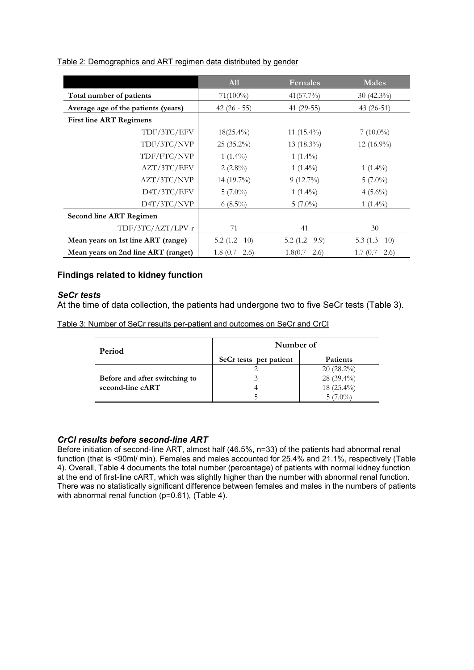|                                     | A11              | <b>Females</b>   | <b>Males</b>     |
|-------------------------------------|------------------|------------------|------------------|
| Total number of patients            | $71(100\%)$      | $41(57.7\%)$     | 30 $(42.3\%)$    |
| Average age of the patients (years) | 42 $(26 - 55)$   | 41 (29-55)       | $43(26-51)$      |
| <b>First line ART Regimens</b>      |                  |                  |                  |
| TDF/3TC/EFV                         | $18(25.4\%)$     | 11 $(15.4\%)$    | $7(10.0\%)$      |
| TDF/3TC/NVP                         | $25(35.2\%)$     | 13 $(18.3\%)$    | 12 (16.9%)       |
| TDF/FTC/NVP                         | $1(1.4\%)$       | $1(1.4\%)$       |                  |
| AZT/3TC/EFV                         | $2(2.8\%)$       | $1(1.4\%)$       | $1(1.4\%)$       |
| AZT/3TC/NVP                         | 14 (19.7%)       | $9(12.7\%)$      | $5(7.0\%)$       |
| D4T/3TC/EFV                         | $5(7.0\%)$       | $1(1.4\%)$       | $4(5.6\%)$       |
| D4T/3TC/NVP                         | $6(8.5\%)$       | $5(7.0\%)$       | $1(1.4\%)$       |
| Second line ART Regimen             |                  |                  |                  |
| $TDF/3TC/AZT/LPV-r$                 | 71               | 41               | 30               |
| Mean years on 1st line ART (range)  | $5.2(1.2 - 10)$  | $5.2(1.2 - 9.9)$ | 5.3 $(1.3 - 10)$ |
| Mean years on 2nd line ART (ranget) | $1.8(0.7 - 2.6)$ | $1.8(0.7 - 2.6)$ | $1.7(0.7 - 2.6)$ |

Table 2: Demographics and ART regimen data distributed by gender

## **Findings related to kidney function**

#### *SeCr tests*

At the time of data collection, the patients had undergone two to five SeCr tests (Table 3).

Table 3: Number of SeCr results per-patient and outcomes on SeCr and CrCl

| Period                                            | Number of              |                 |  |
|---------------------------------------------------|------------------------|-----------------|--|
|                                                   | SeCr tests per patient | <b>Patients</b> |  |
|                                                   |                        | $20(28.2\%)$    |  |
| Before and after switching to<br>second-line cART |                        | 28 (39.4%)      |  |
|                                                   |                        | 18 (25.4%)      |  |
|                                                   |                        | $(7.0\%)$       |  |

#### *CrCl results before second-line ART*

Before initiation of second-line ART, almost half (46.5%, n=33) of the patients had abnormal renal function (that is <90ml/ min). Females and males accounted for 25.4% and 21.1%, respectively (Table 4). Overall, Table 4 documents the total number (percentage) of patients with normal kidney function at the end of first-line cART, which was slightly higher than the number with abnormal renal function. There was no statistically significant difference between females and males in the numbers of patients with abnormal renal function (p=0.61), (Table 4).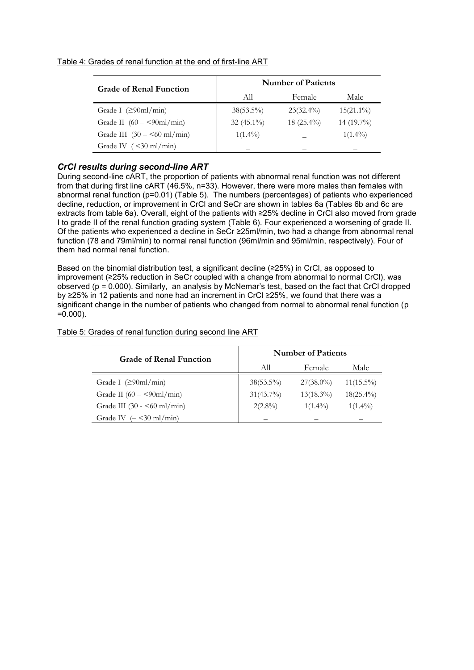Table 4: Grades of renal function at the end of first-line ART

| <b>Grade of Renal Function</b>          | <b>Number of Patients</b> |              |              |  |
|-----------------------------------------|---------------------------|--------------|--------------|--|
|                                         | All                       | Female       | Male         |  |
| Grade I $(\geq 90 \text{ml/min})$       | $38(53.5\%)$              | $23(32.4\%)$ | $15(21.1\%)$ |  |
| Grade II $(60 - \leq 90 \text{ml/min})$ | $32(45.1\%)$              | $18(25.4\%)$ | $14(19.7\%)$ |  |
| Grade III $(30 - 60 \text{ ml/min})$    | $1(1.4\%)$                |              | $1(1.4\%)$   |  |
| Grade IV $(< 30$ ml/min)                |                           |              |              |  |

## *CrCl results during second-line ART*

During second-line cART, the proportion of patients with abnormal renal function was not different from that during first line cART (46.5%, n=33). However, there were more males than females with abnormal renal function (p=0.01) (Table 5). The numbers (percentages) of patients who experienced decline, reduction, or improvement in CrCl and SeCr are shown in tables 6a (Tables 6b and 6c are extracts from table 6a). Overall, eight of the patients with ≥25% decline in CrCl also moved from grade I to grade II of the renal function grading system (Table 6). Four experienced a worsening of grade II. Of the patients who experienced a decline in SeCr ≥25ml/min, two had a change from abnormal renal function (78 and 79ml/min) to normal renal function (96ml/min and 95ml/min, respectively). Four of them had normal renal function.

Based on the binomial distribution test, a significant decline (≥25%) in CrCl, as opposed to improvement (≥25% reduction in SeCr coupled with a change from abnormal to normal CrCl), was observed (p = 0.000). Similarly, an analysis by McNemar's test, based on the fact that CrCl dropped by ≥25% in 12 patients and none had an increment in CrCl ≥25%, we found that there was a significant change in the number of patients who changed from normal to abnormal renal function (p  $=0.000$ ).

| <b>Grade of Renal Function</b>          | <b>Number of Patients</b> |              |              |
|-----------------------------------------|---------------------------|--------------|--------------|
|                                         | All                       | Female       | Male         |
| Grade I $(\geq 90 \text{ml/min})$       | $38(53.5\%)$              | $27(38.0\%)$ | $11(15.5\%)$ |
| Grade II $(60 - \leq 90 \text{ml/min})$ | $31(43.7\%)$              | $13(18.3\%)$ | $18(25.4\%)$ |
| Grade III $(30 - 60 \text{ ml/min})$    | $2(2.8\%)$                | $1(1.4\%)$   | $1(1.4\%)$   |
| Grade IV $(-\leq 30 \text{ ml/min})$    |                           |              |              |

### Table 5: Grades of renal function during second line ART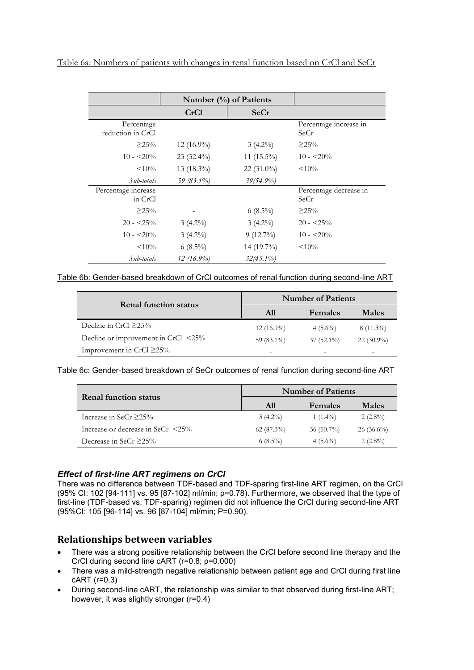Table 6a: Numbers of patients with changes in renal function based on CrCl and SeCr

|                                 | Number $(\%)$ of Patients |               |                                |
|---------------------------------|---------------------------|---------------|--------------------------------|
|                                 | CrCl                      | <b>SeCr</b>   |                                |
| Percentage<br>reduction in CrCl |                           |               | Percentage increase in<br>SeCr |
| $\geq$ 25%                      | $12(16.9\%)$              | $3(4.2\%)$    | $\geq$ 25%                     |
| $10 - 520\%$                    | 23 (32.4%)                | 11 $(15.5\%)$ | $10 - 520\%$                   |
| $< 10\%$                        | $13(18.3\%)$              | $22(31.0\%)$  | $< 10\%$                       |
| Sub-totals                      | 59 (83.1%)                | 39(54.9%)     |                                |
| Percentage increase<br>in CrCl  |                           |               | Percentage decrease in<br>SeCr |
| $\geq$ 25%                      |                           | $6(8.5\%)$    | $\geq$ 25%                     |
| $20 - 525\%$                    | $3(4.2\%)$                | $3(4.2\%)$    | $20 - 525\%$                   |
| $10 - 520\%$                    | $3(4.2\%)$                | $9(12.7\%)$   | $10 - 520\%$                   |
| $< 10\%$                        | $6(8.5\%)$                | 14 (19.7%)    | $< 10\%$                       |
| Sub-totals                      | $12(16.9\%)$              | $32(45.1\%)$  |                                |

### Table 6b: Gender-based breakdown of CrCl outcomes of renal function during second-line ART

|                                           | <b>Number of Patients</b> |                |              |
|-------------------------------------------|---------------------------|----------------|--------------|
| <b>Renal function status</b>              | A11                       | <b>Females</b> | <b>Males</b> |
| Decline in CrCl $\geq$ 25%                | $12(16.9\%)$              | $4(5.6\%)$     | $8(11.3\%)$  |
| Decline or improvement in CrCl $\leq$ 25% | 59 $(83.1\%)$             | $37(52.1\%)$   | $22(30.9\%)$ |
| Improvement in CrCl $\geq$ 25%            |                           |                |              |

## Table 6c: Gender-based breakdown of SeCr outcomes of renal function during second-line ART

|                                           | <b>Number of Patients</b> |                |              |
|-------------------------------------------|---------------------------|----------------|--------------|
| <b>Renal function status</b>              | All                       | <b>Females</b> | <b>Males</b> |
| Increase in SeCr $\geq$ 25%               | $3(4.2\%)$                | $1(1.4\%)$     | $2(2.8\%)$   |
| Increase or decrease in SeC $r \leq 25\%$ | $62(87.3\%)$              | $36(50.7\%)$   | $26(36.6\%)$ |
| Decrease in SeCr $\geq$ 25%               | $6(8.5\%)$                | $4(5.6\%)$     | $2(2.8\%)$   |

#### *Effect of first-line ART regimens on CrCl*

There was no difference between TDF-based and TDF-sparing first-line ART regimen, on the CrCl (95% CI: 102 [94-111] vs. 95 [87-102] ml/min; p=0.78). Furthermore, we observed that the type of first-line (TDF-based vs. TDF-sparing) regimen did not influence the CrCl during second-line ART (95%CI: 105 [96-114] vs. 96 [87-104] ml/min; P=0.90).

# **Relationships between variables**

- There was a strong positive relationship between the CrCl before second line therapy and the CrCl during second line cART (r=0.8; p=0.000)
- There was a mild-strength negative relationship between patient age and CrCl during first line cART (r=0.3)
- During second-line cART, the relationship was similar to that observed during first-line ART; however, it was slightly stronger (r=0.4)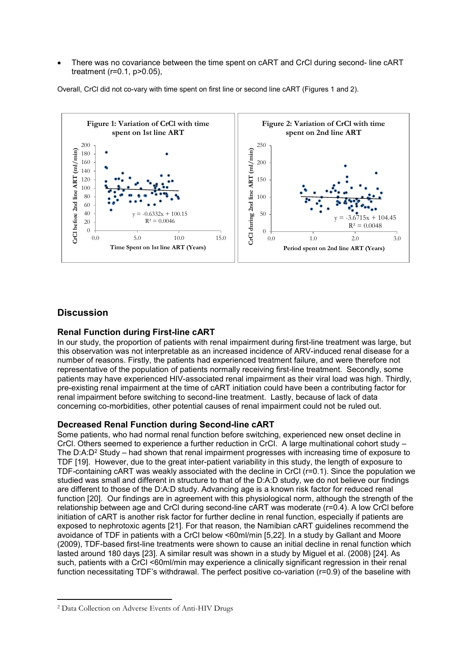There was no covariance between the time spent on cART and CrCl during second- line cART treatment (r=0.1, p>0.05),

Overall, CrCl did not co-vary with time spent on first line or second line cART (Figures 1 and 2).



## **Discussion**

1

#### **Renal Function during First-line cART**

In our study, the proportion of patients with renal impairment during first-line treatment was large, but this observation was not interpretable as an increased incidence of ARV-induced renal disease for a number of reasons. Firstly, the patients had experienced treatment failure, and were therefore not representative of the population of patients normally receiving first-line treatment. Secondly, some patients may have experienced HIV-associated renal impairment as their viral load was high. Thirdly, pre-existing renal impairment at the time of cART initiation could have been a contributing factor for renal impairment before switching to second-line treatment. Lastly, because of lack of data concerning co-morbidities, other potential causes of renal impairment could not be ruled out.

#### **Decreased Renal Function during Second-line cART**

Some patients, who had normal renal function before switching, experienced new onset decline in CrCl. Others seemed to experience a further reduction in CrCl. A large multinational cohort study – The D:A:D<sup>2</sup> Study – had shown that renal impairment progresses with increasing time of exposure to TDF [19]. However, due to the great inter-patient variability in this study, the length of exposure to TDF-containing cART was weakly associated with the decline in CrCl (r=0.1). Since the population we studied was small and different in structure to that of the D:A:D study, we do not believe our findings are different to those of the D:A:D study. Advancing age is a known risk factor for reduced renal function [20]. Our findings are in agreement with this physiological norm, although the strength of the relationship between age and CrCl during second-line cART was moderate (r=0.4). A low CrCl before initiation of cART is another risk factor for further decline in renal function, especially if patients are exposed to nephrotoxic agents [21]. For that reason, the Namibian cART guidelines recommend the avoidance of TDF in patients with a CrCl below <60ml/min [5,22]. In a study by Gallant and Moore (2009), TDF-based first-line treatments were shown to cause an initial decline in renal function which lasted around 180 days [23]. A similar result was shown in a study by Miguel et al. (2008) [24]. As such, patients with a CrCl <60ml/min may experience a clinically significant regression in their renal function necessitating TDF's withdrawal. The perfect positive co-variation (r=0.9) of the baseline with

<sup>2</sup> Data Collection on Adverse Events of Anti-HIV Drugs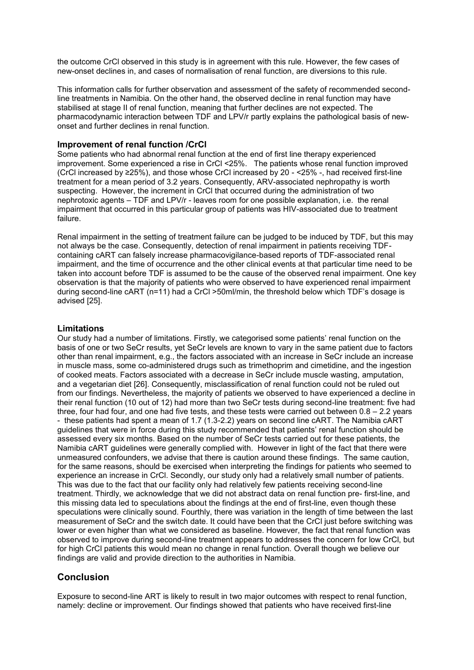the outcome CrCl observed in this study is in agreement with this rule. However, the few cases of new-onset declines in, and cases of normalisation of renal function, are diversions to this rule.

This information calls for further observation and assessment of the safety of recommended secondline treatments in Namibia. On the other hand, the observed decline in renal function may have stabilised at stage II of renal function, meaning that further declines are not expected. The pharmacodynamic interaction between TDF and LPV/r partly explains the pathological basis of newonset and further declines in renal function.

#### **Improvement of renal function /CrCl**

Some patients who had abnormal renal function at the end of first line therapy experienced improvement. Some experienced a rise in CrCl <25%. The patients whose renal function improved (CrCl increased by ≥25%), and those whose CrCl increased by 20 - <25% -, had received first-line treatment for a mean period of 3.2 years. Consequently, ARV-associated nephropathy is worth suspecting. However, the increment in CrCl that occurred during the administration of two nephrotoxic agents – TDF and LPV/r - leaves room for one possible explanation, i.e. the renal impairment that occurred in this particular group of patients was HIV-associated due to treatment failure.

Renal impairment in the setting of treatment failure can be judged to be induced by TDF, but this may not always be the case. Consequently, detection of renal impairment in patients receiving TDFcontaining cART can falsely increase pharmacovigilance-based reports of TDF-associated renal impairment, and the time of occurrence and the other clinical events at that particular time need to be taken into account before TDF is assumed to be the cause of the observed renal impairment. One key observation is that the majority of patients who were observed to have experienced renal impairment during second-line cART (n=11) had a CrCl >50ml/min, the threshold below which TDF's dosage is advised [25].

#### **Limitations**

Our study had a number of limitations. Firstly, we categorised some patients' renal function on the basis of one or two SeCr results, yet SeCr levels are known to vary in the same patient due to factors other than renal impairment, e.g., the factors associated with an increase in SeCr include an increase in muscle mass, some co-administered drugs such as trimethoprim and cimetidine, and the ingestion of cooked meats. Factors associated with a decrease in SeCr include muscle wasting, amputation, and a vegetarian diet [26]. Consequently, misclassification of renal function could not be ruled out from our findings. Nevertheless, the majority of patients we observed to have experienced a decline in their renal function (10 out of 12) had more than two SeCr tests during second-line treatment: five had three, four had four, and one had five tests, and these tests were carried out between 0.8 – 2.2 years - these patients had spent a mean of 1.7 (1.3-2.2) years on second line cART. The Namibia cART guidelines that were in force during this study recommended that patients' renal function should be assessed every six months. Based on the number of SeCr tests carried out for these patients, the Namibia cART guidelines were generally complied with. However in light of the fact that there were unmeasured confounders, we advise that there is caution around these findings. The same caution, for the same reasons, should be exercised when interpreting the findings for patients who seemed to experience an increase in CrCl. Secondly, our study only had a relatively small number of patients. This was due to the fact that our facility only had relatively few patients receiving second-line treatment. Thirdly, we acknowledge that we did not abstract data on renal function pre- first-line, and this missing data led to speculations about the findings at the end of first-line, even though these speculations were clinically sound. Fourthly, there was variation in the length of time between the last measurement of SeCr and the switch date. It could have been that the CrCl just before switching was lower or even higher than what we considered as baseline. However, the fact that renal function was observed to improve during second-line treatment appears to addresses the concern for low CrCl, but for high CrCl patients this would mean no change in renal function. Overall though we believe our findings are valid and provide direction to the authorities in Namibia.

## **Conclusion**

Exposure to second-line ART is likely to result in two major outcomes with respect to renal function, namely: decline or improvement. Our findings showed that patients who have received first-line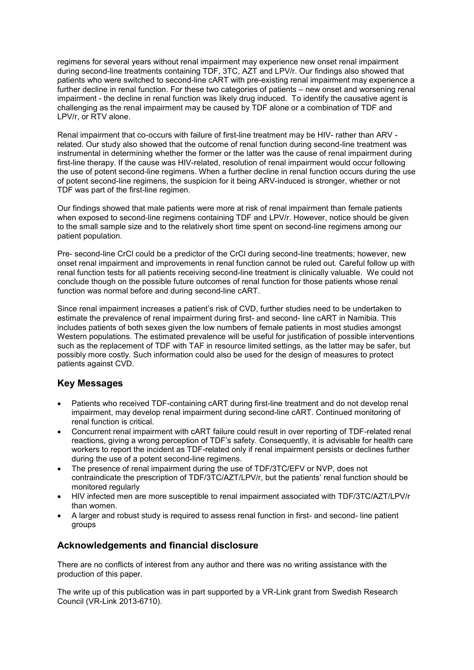regimens for several years without renal impairment may experience new onset renal impairment during second-line treatments containing TDF, 3TC, AZT and LPV/r. Our findings also showed that patients who were switched to second-line cART with pre-existing renal impairment may experience a further decline in renal function. For these two categories of patients – new onset and worsening renal impairment - the decline in renal function was likely drug induced. To identify the causative agent is challenging as the renal impairment may be caused by TDF alone or a combination of TDF and LPV/r, or RTV alone.

Renal impairment that co-occurs with failure of first-line treatment may be HIV- rather than ARV related. Our study also showed that the outcome of renal function during second-line treatment was instrumental in determining whether the former or the latter was the cause of renal impairment during first-line therapy. If the cause was HIV-related, resolution of renal impairment would occur following the use of potent second-line regimens. When a further decline in renal function occurs during the use of potent second-line regimens, the suspicion for it being ARV-induced is stronger, whether or not TDF was part of the first-line regimen.

Our findings showed that male patients were more at risk of renal impairment than female patients when exposed to second-line regimens containing TDF and LPV/r. However, notice should be given to the small sample size and to the relatively short time spent on second-line regimens among our patient population.

Pre- second-line CrCl could be a predictor of the CrCl during second-line treatments; however, new onset renal impairment and improvements in renal function cannot be ruled out. Careful follow up with renal function tests for all patients receiving second-line treatment is clinically valuable. We could not conclude though on the possible future outcomes of renal function for those patients whose renal function was normal before and during second-line cART.

Since renal impairment increases a patient's risk of CVD, further studies need to be undertaken to estimate the prevalence of renal impairment during first- and second- line cART in Namibia. This includes patients of both sexes given the low numbers of female patients in most studies amongst Western populations. The estimated prevalence will be useful for justification of possible interventions such as the replacement of TDF with TAF in resource limited settings, as the latter may be safer, but possibly more costly. Such information could also be used for the design of measures to protect patients against CVD.

# **Key Messages**

- Patients who received TDF-containing cART during first-line treatment and do not develop renal impairment, may develop renal impairment during second-line cART. Continued monitoring of renal function is critical.
- Concurrent renal impairment with cART failure could result in over reporting of TDF-related renal reactions, giving a wrong perception of TDF's safety. Consequently, it is advisable for health care workers to report the incident as TDF-related only if renal impairment persists or declines further during the use of a potent second-line regimens.
- The presence of renal impairment during the use of TDF/3TC/EFV or NVP, does not contraindicate the prescription of TDF/3TC/AZT/LPV/r, but the patients' renal function should be monitored regularly
- HIV infected men are more susceptible to renal impairment associated with TDF/3TC/AZT/LPV/r than women.
- A larger and robust study is required to assess renal function in first- and second- line patient groups

## **Acknowledgements and financial disclosure**

There are no conflicts of interest from any author and there was no writing assistance with the production of this paper.

The write up of this publication was in part supported by a VR-Link grant from Swedish Research Council (VR-Link 2013-6710).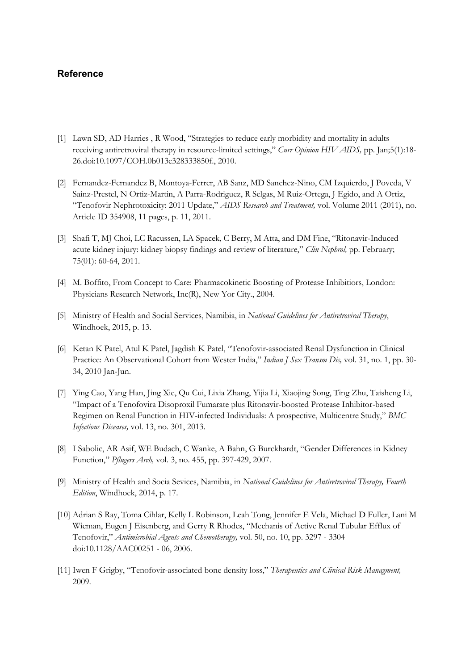### **Reference**

- [1] Lawn SD, AD Harries , R Wood, "Strategies to reduce early morbidity and mortality in adults receiving antiretroviral therapy in resource-limited settings," *Curr Opinion HIV AIDS,* pp. Jan;5(1):18- 26.doi:10.1097/COH.0b013e328333850f., 2010.
- [2] Fernandez-Fernandez B, Montoya-Ferrer, AB Sanz, MD Sanchez-Nino, CM Izquierdo, J Poveda, V Sainz-Prestel, N Ortiz-Martin, A Parra-Rodriguez, R Selgas, M Ruiz-Ortega, J Egido, and A Ortiz, "Tenofovir Nephrotoxicity: 2011 Update," *AIDS Research and Treatment,* vol. Volume 2011 (2011), no. Article ID 354908, 11 pages, p. 11, 2011.
- [3] Shafi T, MJ Choi, LC Racussen, LA Spacek, C Berry, M Atta, and DM Fine, "Ritonavir-Induced acute kidney injury: kidney biopsy findings and review of literature," *Clin Nephrol,* pp. February; 75(01): 60-64, 2011.
- [4] M. Boffito, From Concept to Care: Pharmacokinetic Boosting of Protease Inhibitiors, London: Physicians Research Network, Inc(R), New Yor City., 2004.
- [5] Ministry of Health and Social Services, Namibia, in *National Guidelines for Antiretroviral Therapy*, Windhoek, 2015, p. 13.
- [6] Ketan K Patel, Atul K Patel, Jagdish K Patel, "Tenofovir-associated Renal Dysfunction in Clinical Practice: An Observational Cohort from Wester India," *Indian J Sex Transm Dis,* vol. 31, no. 1, pp. 30- 34, 2010 Jan-Jun.
- [7] Ying Cao, Yang Han, Jing Xie, Qu Cui, Lixia Zhang, Yijia Li, Xiaojing Song, Ting Zhu, Taisheng Li, "Impact of a Tenofovira Disoproxil Fumarate plus Ritonavir-boosted Protease Inhibitor-based Regimen on Renal Function in HIV-infected Individuals: A prospective, Multicentre Study," *BMC Infectious Diseases,* vol. 13, no. 301, 2013.
- [8] I Sabolic, AR Asif, WE Budach, C Wanke, A Bahn, G Burckhardt, "Gender Differences in Kidney Function," *Pflugers Arch,* vol. 3, no. 455, pp. 397-429, 2007.
- [9] Ministry of Health and Socia Sevices, Namibia, in *National Guidelines for Antiretroviral Therapy, Fourth Edition*, Windhoek, 2014, p. 17.
- [10] Adrian S Ray, Toma Cihlar, Kelly L Robinson, Leah Tong, Jennifer E Vela, Michael D Fuller, Lani M Wieman, Eugen J Eisenberg, and Gerry R Rhodes, "Mechanis of Active Renal Tubular Efflux of Tenofovir," *Antimicrobial Agents and Chemotherapy,* vol. 50, no. 10, pp. 3297 - 3304 doi:10.1128/AAC00251 - 06, 2006.
- [11] Iwen F Grigby, "Tenofovir-associated bone density loss," *Therapeutics and Clinical Risk Managment,*  2009.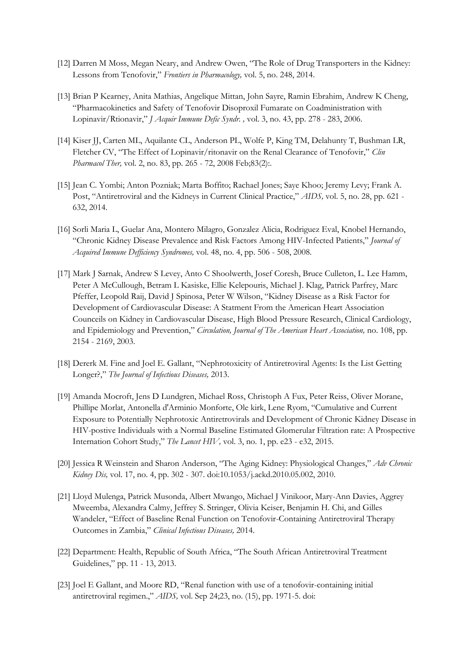- [12] Darren M Moss, Megan Neary, and Andrew Owen, "The Role of Drug Transporters in the Kidney: Lessons from Tenofovir," *Frontiers in Pharmacology,* vol. 5, no. 248, 2014.
- [13] Brian P Kearney, Anita Mathias, Angelique Mittan, John Sayre, Ramin Ebrahim, Andrew K Cheng, "Pharmacokinetics and Safety of Tenofovir Disoproxil Fumarate on Coadministration with Lopinavir/Rtionavir," *J Acquir Immune Defic Syndr. ,* vol. 3, no. 43, pp. 278 - 283, 2006.
- [14] Kiser JJ, Carten ML, Aquilante CL, Anderson PL, Wolfe P, King TM, Delahunty T, Bushman LR, Fletcher CV, "The Effect of Lopinavir/ritonavir on the Renal Clearance of Tenofovir," *Clin Pharmacol Ther,* vol. 2, no. 83, pp. 265 - 72, 2008 Feb;83(2):.
- [15] Jean C. Yombi; Anton Pozniak; Marta Boffito; Rachael Jones; Saye Khoo; Jeremy Levy; Frank A. Post, "Antiretroviral and the Kidneys in Current Clinical Practice," *AIDS,* vol. 5, no. 28, pp. 621 - 632, 2014.
- [16] Sorli Maria L, Guelar Ana, Montero Milagro, Gonzalez Alicia, Rodriguez Eval, Knobel Hernando, "Chronic Kidney Disease Prevalence and Risk Factors Among HIV-Infected Patients," *Journal of Acquired Immune Defficiency Syndromes,* vol. 48, no. 4, pp. 506 - 508, 2008.
- [17] Mark J Sarnak, Andrew S Levey, Anto C Shoolwerth, Josef Coresh, Bruce Culleton, L. Lee Hamm, Peter A McCullough, Betram L Kasiske, Ellie Kelepouris, Michael J. Klag, Patrick Parfrey, Marc Pfeffer, Leopold Raij, David J Spinosa, Peter W Wilson, "Kidney Disease as a Risk Factor for Development of Cardiovascular Disease: A Statment From the American Heart Association Counceils on Kidney in Cardiovascular Disease, High Blood Pressure Research, Clinical Cardiology, and Epidemiology and Prevention," *Circulation, Journal of The American Heart Association,* no. 108, pp. 2154 - 2169, 2003.
- [18] Dererk M. Fine and Joel E. Gallant, "Nephrotoxicity of Antiretroviral Agents: Is the List Getting Longer?," *The Journal of Infectious Diseases,* 2013.
- [19] Amanda Mocroft, Jens D Lundgren, Michael Ross, Christoph A Fux, Peter Reiss, Oliver Morane, Phillipe Morlat, Antonella d'Arminio Monforte, Ole kirk, Lene Ryom, "Cumulative and Current Exposure to Potentially Nephrotoxic Antiretrovirals and Development of Chronic Kidney Disease in HIV-postive Individuals with a Normal Baseline Estimated Glomerular Filtration rate: A Prospective Internation Cohort Study," *The Lancet HIV,* vol. 3, no. 1, pp. e23 - e32, 2015.
- [20] Jessica R Weinstein and Sharon Anderson, "The Aging Kidney: Physiological Changes," *Adv Chronic Kidney Dis,* vol. 17, no. 4, pp. 302 - 307. doi:10.1053/j.ackd.2010.05.002, 2010.
- [21] Lloyd Mulenga, Patrick Musonda, Albert Mwango, Michael J Vinikoor, Mary-Ann Davies, Aggrey Mweemba, Alexandra Calmy, Jeffrey S. Stringer, Olivia Keiser, Benjamin H. Chi, and Gilles Wandeler, "Effect of Baseline Renal Function on Tenofovir-Containing Antiretroviral Therapy Outcomes in Zambia," *Clinical Infectious Diseases,* 2014.
- [22] Department: Health, Republic of South Africa, "The South African Antiretroviral Treatment Guidelines," pp. 11 - 13, 2013.
- [23] Joel E Gallant, and Moore RD, "Renal function with use of a tenofovir-containing initial antiretroviral regimen.," *AIDS,* vol. Sep 24;23, no. (15), pp. 1971-5. doi: